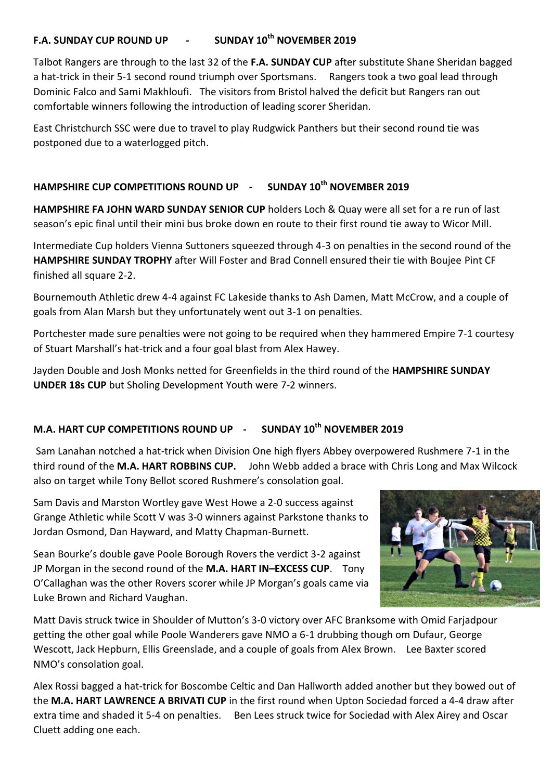## **F.A. SUNDAY CUP ROUND UP - SUNDAY 10th NOVEMBER 2019**

Talbot Rangers are through to the last 32 of the **F.A. SUNDAY CUP** after substitute Shane Sheridan bagged a hat-trick in their 5-1 second round triumph over Sportsmans. Rangers took a two goal lead through Dominic Falco and Sami Makhloufi. The visitors from Bristol halved the deficit but Rangers ran out comfortable winners following the introduction of leading scorer Sheridan.

East Christchurch SSC were due to travel to play Rudgwick Panthers but their second round tie was postponed due to a waterlogged pitch.

## **HAMPSHIRE CUP COMPETITIONS ROUND UP - SUNDAY 10th NOVEMBER 2019**

**HAMPSHIRE FA JOHN WARD SUNDAY SENIOR CUP** holders Loch & Quay were all set for a re run of last season's epic final until their mini bus broke down en route to their first round tie away to Wicor Mill.

Intermediate Cup holders Vienna Suttoners squeezed through 4-3 on penalties in the second round of the **HAMPSHIRE SUNDAY TROPHY** after Will Foster and Brad Connell ensured their tie with Boujee Pint CF finished all square 2-2.

Bournemouth Athletic drew 4-4 against FC Lakeside thanks to Ash Damen, Matt McCrow, and a couple of goals from Alan Marsh but they unfortunately went out 3-1 on penalties.

Portchester made sure penalties were not going to be required when they hammered Empire 7-1 courtesy of Stuart Marshall's hat-trick and a four goal blast from Alex Hawey.

Jayden Double and Josh Monks netted for Greenfields in the third round of the **HAMPSHIRE SUNDAY UNDER 18s CUP** but Sholing Development Youth were 7-2 winners.

## **M.A. HART CUP COMPETITIONS ROUND UP - SUNDAY 10th NOVEMBER 2019**

Sam Lanahan notched a hat-trick when Division One high flyers Abbey overpowered Rushmere 7-1 in the third round of the **M.A. HART ROBBINS CUP.** John Webb added a brace with Chris Long and Max Wilcock also on target while Tony Bellot scored Rushmere's consolation goal.

Sam Davis and Marston Wortley gave West Howe a 2-0 success against Grange Athletic while Scott V was 3-0 winners against Parkstone thanks to Jordan Osmond, Dan Hayward, and Matty Chapman-Burnett.

Sean Bourke's double gave Poole Borough Rovers the verdict 3-2 against JP Morgan in the second round of the **M.A. HART IN–EXCESS CUP**. Tony O'Callaghan was the other Rovers scorer while JP Morgan's goals came via Luke Brown and Richard Vaughan.



Matt Davis struck twice in Shoulder of Mutton's 3-0 victory over AFC Branksome with Omid Farjadpour getting the other goal while Poole Wanderers gave NMO a 6-1 drubbing though om Dufaur, George Wescott, Jack Hepburn, Ellis Greenslade, and a couple of goals from Alex Brown. Lee Baxter scored NMO's consolation goal.

Alex Rossi bagged a hat-trick for Boscombe Celtic and Dan Hallworth added another but they bowed out of the **M.A. HART LAWRENCE A BRIVATI CUP** in the first round when Upton Sociedad forced a 4-4 draw after extra time and shaded it 5-4 on penalties. Ben Lees struck twice for Sociedad with Alex Airey and Oscar Cluett adding one each.